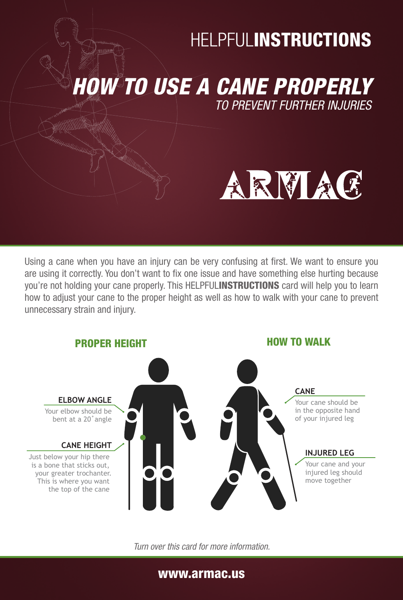## **HELPFULINSTRUCTIONS**

*HOW TO USE A CANE PROPERLY TO PREVENT FURTHER INJURIES*

# ARMAC

Using a cane when you have an injury can be very confusing at first. We want to ensure you are using it correctly. You don't want to fix one issue and have something else hurting because you're not holding your cane properly. This HELPFULINSTRUCTIONS card will help you to learn how to adjust your cane to the proper height as well as how to walk with your cane to prevent unnecessary strain and injury.



*Turn over this card for more information.*

#### www.armac.us